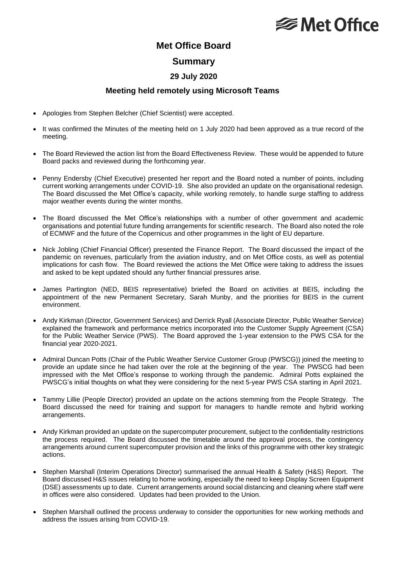# **<del></del>** Met Office

## **Met Office Board**

### **Summary**

### **29 July 2020**

### **Meeting held remotely using Microsoft Teams**

- Apologies from Stephen Belcher (Chief Scientist) were accepted.
- It was confirmed the Minutes of the meeting held on 1 July 2020 had been approved as a true record of the meeting.
- The Board Reviewed the action list from the Board Effectiveness Review. These would be appended to future Board packs and reviewed during the forthcoming year.
- Penny Endersby (Chief Executive) presented her report and the Board noted a number of points, including current working arrangements under COVID-19. She also provided an update on the organisational redesign. The Board discussed the Met Office's capacity, while working remotely, to handle surge staffing to address major weather events during the winter months.
- The Board discussed the Met Office's relationships with a number of other government and academic organisations and potential future funding arrangements for scientific research. The Board also noted the role of ECMWF and the future of the Copernicus and other programmes in the light of EU departure.
- Nick Jobling (Chief Financial Officer) presented the Finance Report. The Board discussed the impact of the pandemic on revenues, particularly from the aviation industry, and on Met Office costs, as well as potential implications for cash flow. The Board reviewed the actions the Met Office were taking to address the issues and asked to be kept updated should any further financial pressures arise.
- James Partington (NED, BEIS representative) briefed the Board on activities at BEIS, including the appointment of the new Permanent Secretary, Sarah Munby, and the priorities for BEIS in the current environment.
- Andy Kirkman (Director, Government Services) and Derrick Ryall (Associate Director, Public Weather Service) explained the framework and performance metrics incorporated into the Customer Supply Agreement (CSA) for the Public Weather Service (PWS). The Board approved the 1-year extension to the PWS CSA for the financial year 2020-2021.
- Admiral Duncan Potts (Chair of the Public Weather Service Customer Group (PWSCG)) joined the meeting to provide an update since he had taken over the role at the beginning of the year. The PWSCG had been impressed with the Met Office's response to working through the pandemic. Admiral Potts explained the PWSCG's initial thoughts on what they were considering for the next 5-year PWS CSA starting in April 2021.
- Tammy Lillie (People Director) provided an update on the actions stemming from the People Strategy. The Board discussed the need for training and support for managers to handle remote and hybrid working arrangements.
- Andy Kirkman provided an update on the supercomputer procurement, subject to the confidentiality restrictions the process required. The Board discussed the timetable around the approval process, the contingency arrangements around current supercomputer provision and the links of this programme with other key strategic actions.
- Stephen Marshall (Interim Operations Director) summarised the annual Health & Safety (H&S) Report. The Board discussed H&S issues relating to home working, especially the need to keep Display Screen Equipment (DSE) assessments up to date. Current arrangements around social distancing and cleaning where staff were in offices were also considered. Updates had been provided to the Union.
- Stephen Marshall outlined the process underway to consider the opportunities for new working methods and address the issues arising from COVID-19.